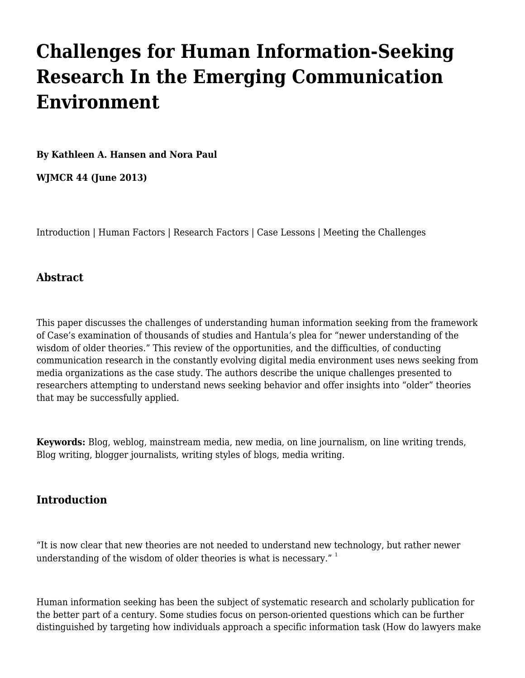# **[Challenges for Human Information-Seeking](http://wjmcr.info/2013/06/01/challenges-for-human-information-seeking-research-in-the-emerging-communication-environment/) [Research In the Emerging Communication](http://wjmcr.info/2013/06/01/challenges-for-human-information-seeking-research-in-the-emerging-communication-environment/) [Environment](http://wjmcr.info/2013/06/01/challenges-for-human-information-seeking-research-in-the-emerging-communication-environment/)**

**[By Kathleen A. Hansen and Nora Paul](https://catmailohio-my.sharepoint.com/personal/meyerh_ohio_edu/_layouts/15/onedrive.aspx?ct=1563391744384&or=OWA%2DNT&cid=feee2bfd%2D0192%2D43df%2Daa3a%2D72ad2d029b2e&FolderCTID=0x0120005A197611EB7FF6458080F80BCB589642&id=%2Fpersonal%2Fmeyerh%5Fohio%5Fedu%2FDocuments%2FWJMCR%2F44%2Ehtml&parent=%2Fpersonal%2Fmeyerh%5Fohio%5Fedu%2FDocuments%2FWJMCR#author)**

**[WJMCR](http://wjmcr.info/) 44 (June 2013)**

[Introduction](#page--1-0) | [Human Factors](#page--1-0) | [Research Factors](#page--1-0) | [Case Lessons](#page--1-0) | [Meeting the Challenges](#page--1-0)

## **Abstract**

This paper discusses the challenges of understanding human information seeking from the framework of Case's examination of thousands of studies and Hantula's plea for "newer understanding of the wisdom of older theories." This review of the opportunities, and the difficulties, of conducting communication research in the constantly evolving digital media environment uses news seeking from media organizations as the case study. The authors describe the unique challenges presented to researchers attempting to understand news seeking behavior and offer insights into "older" theories that may be successfully applied.

**Keywords:** Blog, weblog, mainstream media, new media, on line journalism, on line writing trends, Blog writing, blogger journalists, writing styles of blogs, media writing.

## **Introduction**

"It is now clear that new theories are not needed to understand new technology, but rather newer understanding of the wisdom of older theories is what is necessary."  $1$ 

Human information seeking has been the subject of systematic research and scholarly publication for the better part of a century. Some studies focus on person-oriented questions which can be further distinguished by targeting how individuals approach a specific information task (How do lawyers make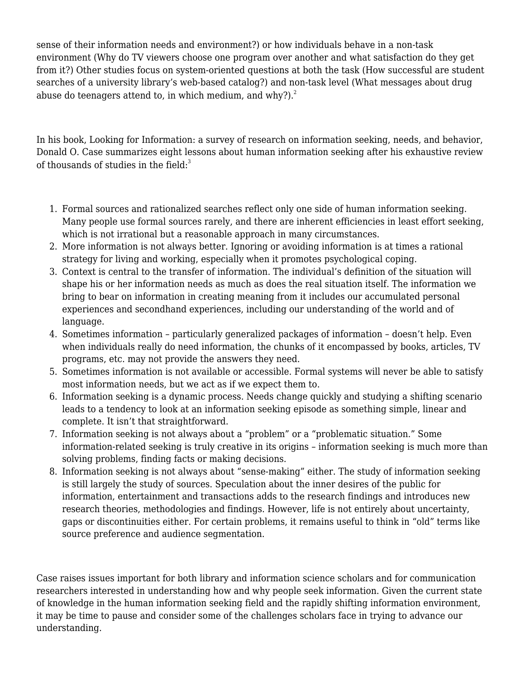sense of their information needs and environment?) or how individuals behave in a non-task environment (Why do TV viewers choose one program over another and what satisfaction do they get from it?) Other studies focus on system-oriented questions at both the task (How successful are student searches of a university library's web-based catalog?) and non-task level (What messages about drug abuse do teenagers attend to, in which medium, and why?). $^2$  $^2$ 

In his book, Looking for Information: a survey of research on information seeking, needs, and behavior, Donald O. Case summarizes eight lessons about human information seeking after his exhaustive review of thousands of studies in the field: $3$ 

- 1. Formal sources and rationalized searches reflect only one side of human information seeking. Many people use formal sources rarely, and there are inherent efficiencies in least effort seeking, which is not irrational but a reasonable approach in many circumstances.
- 2. More information is not always better. Ignoring or avoiding information is at times a rational strategy for living and working, especially when it promotes psychological coping.
- 3. Context is central to the transfer of information. The individual's definition of the situation will shape his or her information needs as much as does the real situation itself. The information we bring to bear on information in creating meaning from it includes our accumulated personal experiences and secondhand experiences, including our understanding of the world and of language.
- 4. Sometimes information particularly generalized packages of information doesn't help. Even when individuals really do need information, the chunks of it encompassed by books, articles, TV programs, etc. may not provide the answers they need.
- 5. Sometimes information is not available or accessible. Formal systems will never be able to satisfy most information needs, but we act as if we expect them to.
- 6. Information seeking is a dynamic process. Needs change quickly and studying a shifting scenario leads to a tendency to look at an information seeking episode as something simple, linear and complete. It isn't that straightforward.
- 7. Information seeking is not always about a "problem" or a "problematic situation." Some information-related seeking is truly creative in its origins – information seeking is much more than solving problems, finding facts or making decisions.
- 8. Information seeking is not always about "sense-making" either. The study of information seeking is still largely the study of sources. Speculation about the inner desires of the public for information, entertainment and transactions adds to the research findings and introduces new research theories, methodologies and findings. However, life is not entirely about uncertainty, gaps or discontinuities either. For certain problems, it remains useful to think in "old" terms like source preference and audience segmentation.

Case raises issues important for both library and information science scholars and for communication researchers interested in understanding how and why people seek information. Given the current state of knowledge in the human information seeking field and the rapidly shifting information environment, it may be time to pause and consider some of the challenges scholars face in trying to advance our understanding.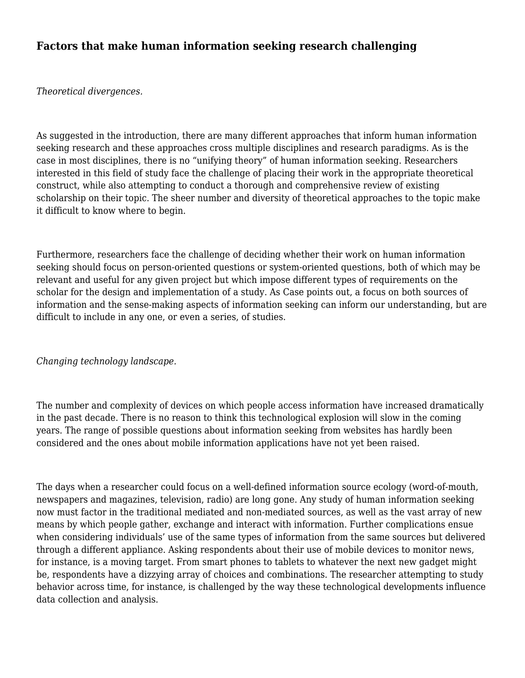## **Factors that make human information seeking research challenging**

*Theoretical divergences.*

As suggested in the introduction, there are many different approaches that inform human information seeking research and these approaches cross multiple disciplines and research paradigms. As is the case in most disciplines, there is no "unifying theory" of human information seeking. Researchers interested in this field of study face the challenge of placing their work in the appropriate theoretical construct, while also attempting to conduct a thorough and comprehensive review of existing scholarship on their topic. The sheer number and diversity of theoretical approaches to the topic make it difficult to know where to begin.

Furthermore, researchers face the challenge of deciding whether their work on human information seeking should focus on person-oriented questions or system-oriented questions, both of which may be relevant and useful for any given project but which impose different types of requirements on the scholar for the design and implementation of a study. As Case points out, a focus on both sources of information and the sense-making aspects of information seeking can inform our understanding, but are difficult to include in any one, or even a series, of studies.

#### *Changing technology landscape.*

The number and complexity of devices on which people access information have increased dramatically in the past decade. There is no reason to think this technological explosion will slow in the coming years. The range of possible questions about information seeking from websites has hardly been considered and the ones about mobile information applications have not yet been raised.

The days when a researcher could focus on a well-defined information source ecology (word-of-mouth, newspapers and magazines, television, radio) are long gone. Any study of human information seeking now must factor in the traditional mediated and non-mediated sources, as well as the vast array of new means by which people gather, exchange and interact with information. Further complications ensue when considering individuals' use of the same types of information from the same sources but delivered through a different appliance. Asking respondents about their use of mobile devices to monitor news, for instance, is a moving target. From smart phones to tablets to whatever the next new gadget might be, respondents have a dizzying array of choices and combinations. The researcher attempting to study behavior across time, for instance, is challenged by the way these technological developments influence data collection and analysis.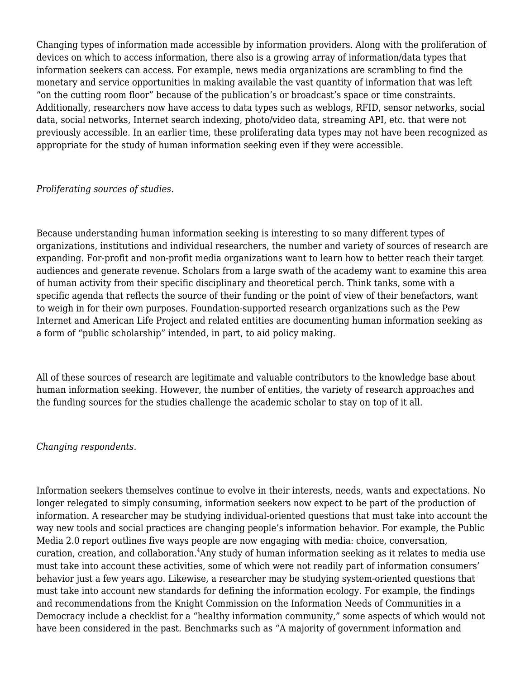Changing types of information made accessible by information providers. Along with the proliferation of devices on which to access information, there also is a growing array of information/data types that information seekers can access. For example, news media organizations are scrambling to find the monetary and service opportunities in making available the vast quantity of information that was left "on the cutting room floor" because of the publication's or broadcast's space or time constraints. Additionally, researchers now have access to data types such as weblogs, RFID, sensor networks, social data, social networks, Internet search indexing, photo/video data, streaming API, etc. that were not previously accessible. In an earlier time, these proliferating data types may not have been recognized as appropriate for the study of human information seeking even if they were accessible.

#### *Proliferating sources of studies.*

Because understanding human information seeking is interesting to so many different types of organizations, institutions and individual researchers, the number and variety of sources of research are expanding. For-profit and non-profit media organizations want to learn how to better reach their target audiences and generate revenue. Scholars from a large swath of the academy want to examine this area of human activity from their specific disciplinary and theoretical perch. Think tanks, some with a specific agenda that reflects the source of their funding or the point of view of their benefactors, want to weigh in for their own purposes. Foundation-supported research organizations such as the Pew Internet and American Life Project and related entities are documenting human information seeking as a form of "public scholarship" intended, in part, to aid policy making.

All of these sources of research are legitimate and valuable contributors to the knowledge base about human information seeking. However, the number of entities, the variety of research approaches and the funding sources for the studies challenge the academic scholar to stay on top of it all.

#### *Changing respondents.*

Information seekers themselves continue to evolve in their interests, needs, wants and expectations. No longer relegated to simply consuming, information seekers now expect to be part of the production of information. A researcher may be studying individual-oriented questions that must take into account the way new tools and social practices are changing people's information behavior. For example, the Public Media 2.0 report outlines five ways people are now engaging with media: choice, conversation, curation, creation, and collaboration. $4$ Any study of human information seeking as it relates to media use must take into account these activities, some of which were not readily part of information consumers' behavior just a few years ago. Likewise, a researcher may be studying system-oriented questions that must take into account new standards for defining the information ecology. For example, the findings and recommendations from the Knight Commission on the Information Needs of Communities in a Democracy include a checklist for a "healthy information community," some aspects of which would not have been considered in the past. Benchmarks such as "A majority of government information and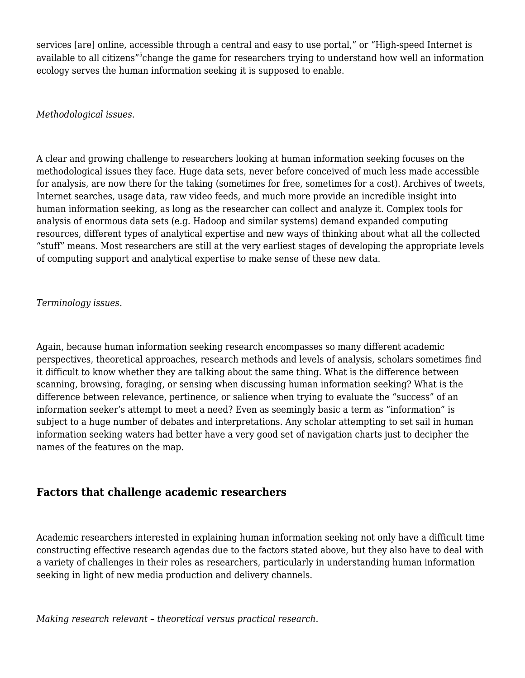services [are] online, accessible through a central and easy to use portal," or "High-speed Internet is available to all citizens"<sup>[5](#page--1-0)</sup>change the game for researchers trying to understand how well an information ecology serves the human information seeking it is supposed to enable.

*Methodological issues.*

A clear and growing challenge to researchers looking at human information seeking focuses on the methodological issues they face. Huge data sets, never before conceived of much less made accessible for analysis, are now there for the taking (sometimes for free, sometimes for a cost). Archives of tweets, Internet searches, usage data, raw video feeds, and much more provide an incredible insight into human information seeking, as long as the researcher can collect and analyze it. Complex tools for analysis of enormous data sets (e.g. Hadoop and similar systems) demand expanded computing resources, different types of analytical expertise and new ways of thinking about what all the collected "stuff" means. Most researchers are still at the very earliest stages of developing the appropriate levels of computing support and analytical expertise to make sense of these new data.

*Terminology issues.*

Again, because human information seeking research encompasses so many different academic perspectives, theoretical approaches, research methods and levels of analysis, scholars sometimes find it difficult to know whether they are talking about the same thing. What is the difference between scanning, browsing, foraging, or sensing when discussing human information seeking? What is the difference between relevance, pertinence, or salience when trying to evaluate the "success" of an information seeker's attempt to meet a need? Even as seemingly basic a term as "information" is subject to a huge number of debates and interpretations. Any scholar attempting to set sail in human information seeking waters had better have a very good set of navigation charts just to decipher the names of the features on the map.

## **Factors that challenge academic researchers**

Academic researchers interested in explaining human information seeking not only have a difficult time constructing effective research agendas due to the factors stated above, but they also have to deal with a variety of challenges in their roles as researchers, particularly in understanding human information seeking in light of new media production and delivery channels.

*Making research relevant – theoretical versus practical research.*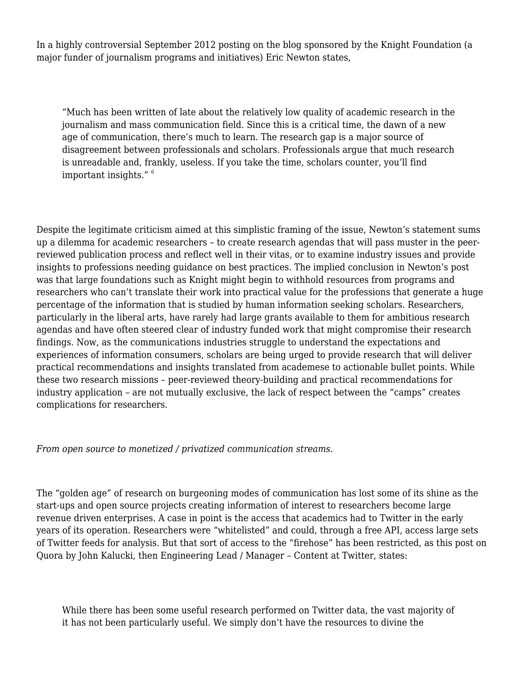In a highly controversial September 2012 posting on the blog sponsored by the Knight Foundation (a major funder of journalism programs and initiatives) Eric Newton states,

"Much has been written of late about the relatively low quality of academic research in the journalism and mass communication field. Since this is a critical time, the dawn of a new age of communication, there's much to learn. The research gap is a major source of disagreement between professionals and scholars. Professionals argue that much research is unreadable and, frankly, useless. If you take the time, scholars counter, you'll find important insights."  $6$ 

Despite the legitimate criticism aimed at this simplistic framing of the issue, Newton's statement sums up a dilemma for academic researchers – to create research agendas that will pass muster in the peerreviewed publication process and reflect well in their vitas, or to examine industry issues and provide insights to professions needing guidance on best practices. The implied conclusion in Newton's post was that large foundations such as Knight might begin to withhold resources from programs and researchers who can't translate their work into practical value for the professions that generate a huge percentage of the information that is studied by human information seeking scholars. Researchers, particularly in the liberal arts, have rarely had large grants available to them for ambitious research agendas and have often steered clear of industry funded work that might compromise their research findings. Now, as the communications industries struggle to understand the expectations and experiences of information consumers, scholars are being urged to provide research that will deliver practical recommendations and insights translated from academese to actionable bullet points. While these two research missions – peer-reviewed theory-building and practical recommendations for industry application – are not mutually exclusive, the lack of respect between the "camps" creates complications for researchers.

*From open source to monetized / privatized communication streams.*

The "golden age" of research on burgeoning modes of communication has lost some of its shine as the start-ups and open source projects creating information of interest to researchers become large revenue driven enterprises. A case in point is the access that academics had to Twitter in the early years of its operation. Researchers were "whitelisted" and could, through a free API, access large sets of Twitter feeds for analysis. But that sort of access to the "firehose" has been restricted, as this post on Quora by John Kalucki, then Engineering Lead / Manager – Content at Twitter, states:

While there has been some useful research performed on Twitter data, the vast majority of it has not been particularly useful. We simply don't have the resources to divine the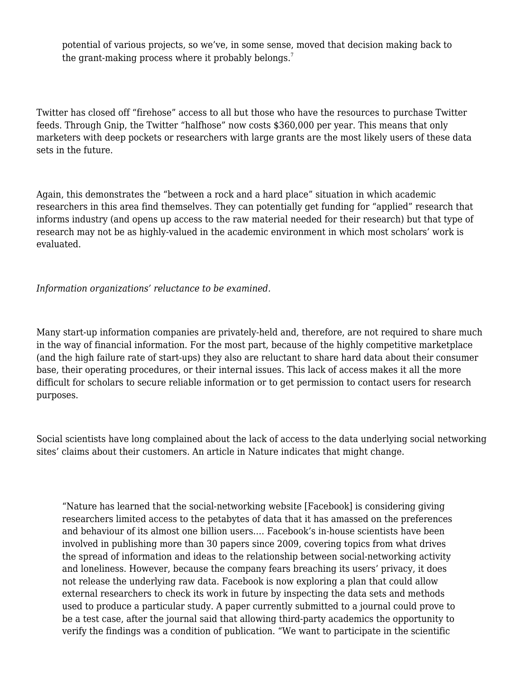potential of various projects, so we've, in some sense, moved that decision making back to the grant-making process where it probably belongs.<sup>[7](#page--1-0)</sup>

Twitter has closed off "firehose" access to all but those who have the resources to purchase Twitter feeds. Through Gnip, the Twitter "halfhose" now costs \$360,000 per year. This means that only marketers with deep pockets or researchers with large grants are the most likely users of these data sets in the future.

Again, this demonstrates the "between a rock and a hard place" situation in which academic researchers in this area find themselves. They can potentially get funding for "applied" research that informs industry (and opens up access to the raw material needed for their research) but that type of research may not be as highly-valued in the academic environment in which most scholars' work is evaluated.

*Information organizations' reluctance to be examined.*

Many start-up information companies are privately-held and, therefore, are not required to share much in the way of financial information. For the most part, because of the highly competitive marketplace (and the high failure rate of start-ups) they also are reluctant to share hard data about their consumer base, their operating procedures, or their internal issues. This lack of access makes it all the more difficult for scholars to secure reliable information or to get permission to contact users for research purposes.

Social scientists have long complained about the lack of access to the data underlying social networking sites' claims about their customers. An article in Nature indicates that might change.

"Nature has learned that the social-networking website [Facebook] is considering giving researchers limited access to the petabytes of data that it has amassed on the preferences and behaviour of its almost one billion users.… Facebook's in-house scientists have been involved in publishing more than 30 papers since 2009, covering topics from what drives the spread of information and ideas to the relationship between social-networking activity and loneliness. However, because the company fears breaching its users' privacy, it does not release the underlying raw data. Facebook is now exploring a plan that could allow external researchers to check its work in future by inspecting the data sets and methods used to produce a particular study. A paper currently submitted to a journal could prove to be a test case, after the journal said that allowing third-party academics the opportunity to verify the findings was a condition of publication. "We want to participate in the scientific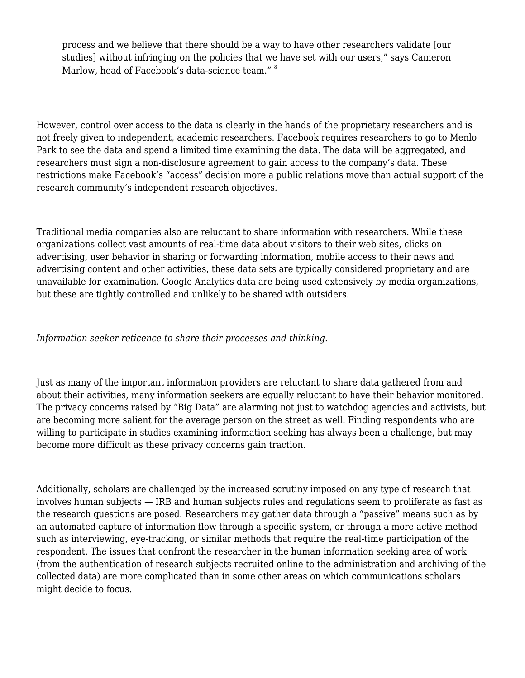process and we believe that there should be a way to have other researchers validate [our studies] without infringing on the policies that we have set with our users," says Cameron Marlow, head of Facebook's data-science team." <sup>[8](#page--1-0)</sup>

However, control over access to the data is clearly in the hands of the proprietary researchers and is not freely given to independent, academic researchers. Facebook requires researchers to go to Menlo Park to see the data and spend a limited time examining the data. The data will be aggregated, and researchers must sign a non-disclosure agreement to gain access to the company's data. These restrictions make Facebook's "access" decision more a public relations move than actual support of the research community's independent research objectives.

Traditional media companies also are reluctant to share information with researchers. While these organizations collect vast amounts of real-time data about visitors to their web sites, clicks on advertising, user behavior in sharing or forwarding information, mobile access to their news and advertising content and other activities, these data sets are typically considered proprietary and are unavailable for examination. Google Analytics data are being used extensively by media organizations, but these are tightly controlled and unlikely to be shared with outsiders.

*Information seeker reticence to share their processes and thinking.*

Just as many of the important information providers are reluctant to share data gathered from and about their activities, many information seekers are equally reluctant to have their behavior monitored. The privacy concerns raised by "Big Data" are alarming not just to watchdog agencies and activists, but are becoming more salient for the average person on the street as well. Finding respondents who are willing to participate in studies examining information seeking has always been a challenge, but may become more difficult as these privacy concerns gain traction.

Additionally, scholars are challenged by the increased scrutiny imposed on any type of research that involves human subjects — IRB and human subjects rules and regulations seem to proliferate as fast as the research questions are posed. Researchers may gather data through a "passive" means such as by an automated capture of information flow through a specific system, or through a more active method such as interviewing, eye-tracking, or similar methods that require the real-time participation of the respondent. The issues that confront the researcher in the human information seeking area of work (from the authentication of research subjects recruited online to the administration and archiving of the collected data) are more complicated than in some other areas on which communications scholars might decide to focus.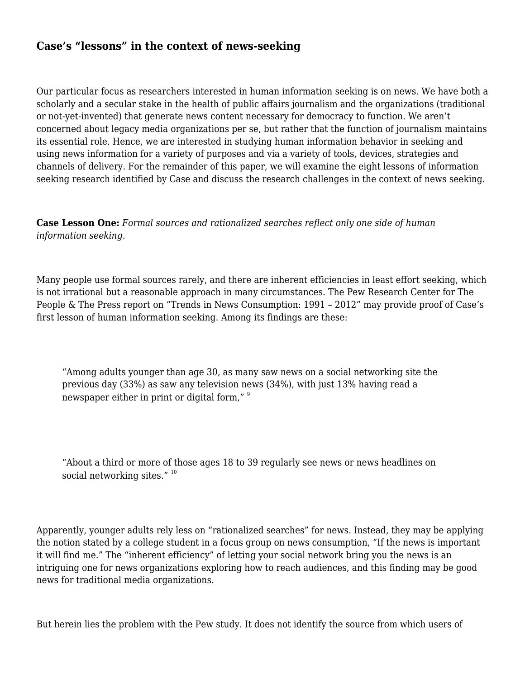## **Case's "lessons" in the context of news-seeking**

Our particular focus as researchers interested in human information seeking is on news. We have both a scholarly and a secular stake in the health of public affairs journalism and the organizations (traditional or not-yet-invented) that generate news content necessary for democracy to function. We aren't concerned about legacy media organizations per se, but rather that the function of journalism maintains its essential role. Hence, we are interested in studying human information behavior in seeking and using news information for a variety of purposes and via a variety of tools, devices, strategies and channels of delivery. For the remainder of this paper, we will examine the eight lessons of information seeking research identified by Case and discuss the research challenges in the context of news seeking.

## **Case Lesson One:** *Formal sources and rationalized searches reflect only one side of human information seeking.*

Many people use formal sources rarely, and there are inherent efficiencies in least effort seeking, which is not irrational but a reasonable approach in many circumstances. The Pew Research Center for The People & The Press report on "Trends in News Consumption: 1991 – 2012" may provide proof of Case's first lesson of human information seeking. Among its findings are these:

"Among adults younger than age 30, as many saw news on a social networking site the previous day (33%) as saw any television news (34%), with just 13% having read a newspaper either in print or digital form." [9](#page--1-0)

"About a third or more of those ages 18 to 39 regularly see news or news headlines on social networking sites." <sup>[10](#page--1-0)</sup>

Apparently, younger adults rely less on "rationalized searches" for news. Instead, they may be applying the notion stated by a college student in a focus group on news consumption, "If the news is important it will find me." The "inherent efficiency" of letting your social network bring you the news is an intriguing one for news organizations exploring how to reach audiences, and this finding may be good news for traditional media organizations.

But herein lies the problem with the Pew study. It does not identify the source from which users of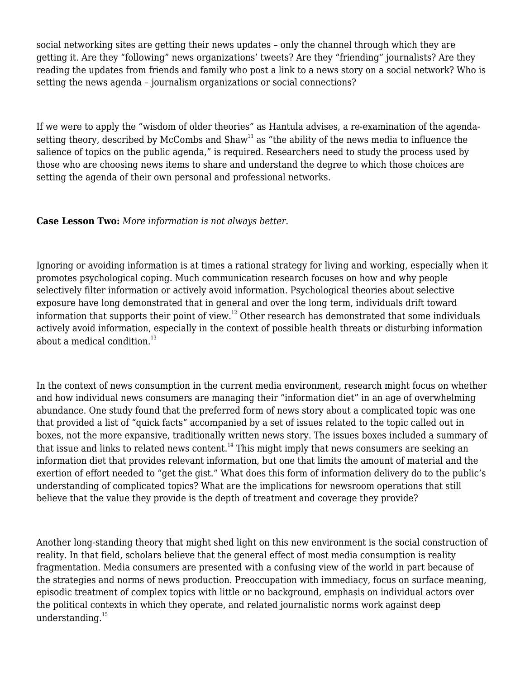social networking sites are getting their news updates – only the channel through which they are getting it. Are they "following" news organizations' tweets? Are they "friending" journalists? Are they reading the updates from friends and family who post a link to a news story on a social network? Who is setting the news agenda – journalism organizations or social connections?

If we were to apply the "wisdom of older theories" as Hantula advises, a re-examination of the agendasetting theory, described by McCombs and  $Shaw<sup>11</sup>$  $Shaw<sup>11</sup>$  $Shaw<sup>11</sup>$  as "the ability of the news media to influence the salience of topics on the public agenda," is required. Researchers need to study the process used by those who are choosing news items to share and understand the degree to which those choices are setting the agenda of their own personal and professional networks.

**Case Lesson Two:** *More information is not always better.*

Ignoring or avoiding information is at times a rational strategy for living and working, especially when it promotes psychological coping. Much communication research focuses on how and why people selectively filter information or actively avoid information. Psychological theories about selective exposure have long demonstrated that in general and over the long term, individuals drift toward information that supports their point of view.[12](#page--1-0) Other research has demonstrated that some individuals actively avoid information, especially in the context of possible health threats or disturbing information about a medical condition. $^{13}$  $^{13}$  $^{13}$ 

In the context of news consumption in the current media environment, research might focus on whether and how individual news consumers are managing their "information diet" in an age of overwhelming abundance. One study found that the preferred form of news story about a complicated topic was one that provided a list of "quick facts" accompanied by a set of issues related to the topic called out in boxes, not the more expansive, traditionally written news story. The issues boxes included a summary of that issue and links to related news content.<sup>[14](#page--1-0)</sup> This might imply that news consumers are seeking an information diet that provides relevant information, but one that limits the amount of material and the exertion of effort needed to "get the gist." What does this form of information delivery do to the public's understanding of complicated topics? What are the implications for newsroom operations that still believe that the value they provide is the depth of treatment and coverage they provide?

Another long-standing theory that might shed light on this new environment is the social construction of reality. In that field, scholars believe that the general effect of most media consumption is reality fragmentation. Media consumers are presented with a confusing view of the world in part because of the strategies and norms of news production. Preoccupation with immediacy, focus on surface meaning, episodic treatment of complex topics with little or no background, emphasis on individual actors over the political contexts in which they operate, and related journalistic norms work against deep understanding. $15$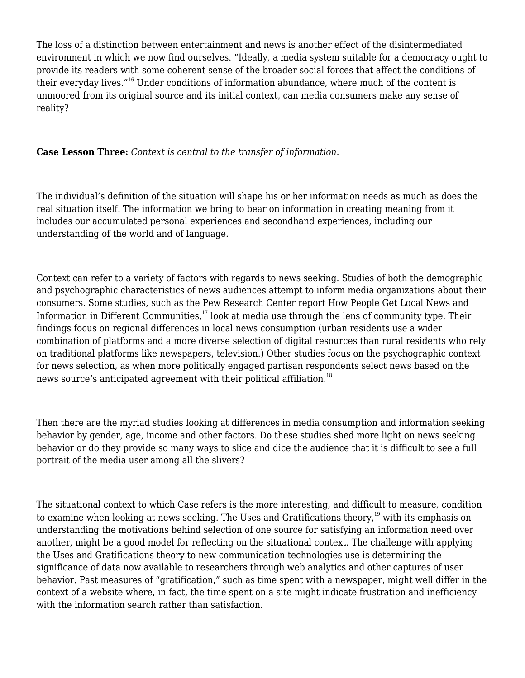The loss of a distinction between entertainment and news is another effect of the disintermediated environment in which we now find ourselves. "Ideally, a media system suitable for a democracy ought to provide its readers with some coherent sense of the broader social forces that affect the conditions of their everyday lives."[16](#page--1-0) Under conditions of information abundance, where much of the content is unmoored from its original source and its initial context, can media consumers make any sense of reality?

### **Case Lesson Three:** *Context is central to the transfer of information.*

The individual's definition of the situation will shape his or her information needs as much as does the real situation itself. The information we bring to bear on information in creating meaning from it includes our accumulated personal experiences and secondhand experiences, including our understanding of the world and of language.

Context can refer to a variety of factors with regards to news seeking. Studies of both the demographic and psychographic characteristics of news audiences attempt to inform media organizations about their consumers. Some studies, such as the Pew Research Center report How People Get Local News and Information in Different Communities, $17 \text{ look at media use through the lens of community type. Their}$  $17 \text{ look at media use through the lens of community type. Their}$ findings focus on regional differences in local news consumption (urban residents use a wider combination of platforms and a more diverse selection of digital resources than rural residents who rely on traditional platforms like newspapers, television.) Other studies focus on the psychographic context for news selection, as when more politically engaged partisan respondents select news based on the news source's anticipated agreement with their political affiliation.<sup>[18](#page--1-0)</sup>

Then there are the myriad studies looking at differences in media consumption and information seeking behavior by gender, age, income and other factors. Do these studies shed more light on news seeking behavior or do they provide so many ways to slice and dice the audience that it is difficult to see a full portrait of the media user among all the slivers?

The situational context to which Case refers is the more interesting, and difficult to measure, condition to examine when looking at news seeking. The Uses and Gratifications theory,<sup>[19](#page--1-0)</sup> with its emphasis on understanding the motivations behind selection of one source for satisfying an information need over another, might be a good model for reflecting on the situational context. The challenge with applying the Uses and Gratifications theory to new communication technologies use is determining the significance of data now available to researchers through web analytics and other captures of user behavior. Past measures of "gratification," such as time spent with a newspaper, might well differ in the context of a website where, in fact, the time spent on a site might indicate frustration and inefficiency with the information search rather than satisfaction.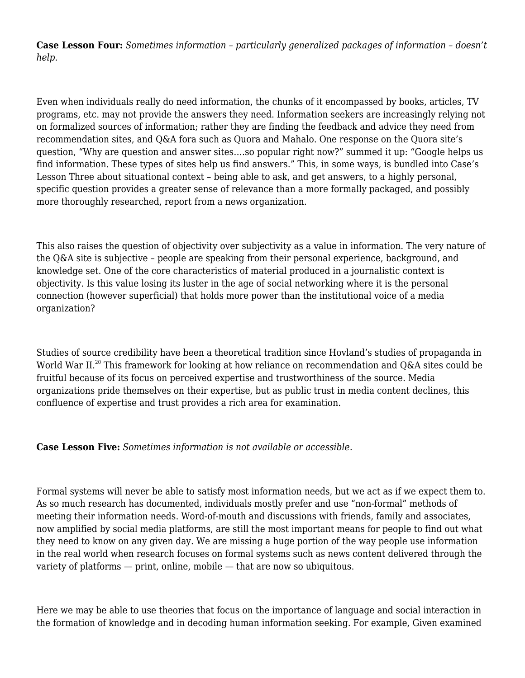**Case Lesson Four:** *Sometimes information – particularly generalized packages of information – doesn't help.*

Even when individuals really do need information, the chunks of it encompassed by books, articles, TV programs, etc. may not provide the answers they need. Information seekers are increasingly relying not on formalized sources of information; rather they are finding the feedback and advice they need from recommendation sites, and Q&A fora such as Quora and Mahalo. One response on the Quora site's question, "Why are question and answer sites….so popular right now?" summed it up: "Google helps us find information. These types of sites help us find answers." This, in some ways, is bundled into Case's Lesson Three about situational context – being able to ask, and get answers, to a highly personal, specific question provides a greater sense of relevance than a more formally packaged, and possibly more thoroughly researched, report from a news organization.

This also raises the question of objectivity over subjectivity as a value in information. The very nature of the Q&A site is subjective – people are speaking from their personal experience, background, and knowledge set. One of the core characteristics of material produced in a journalistic context is objectivity. Is this value losing its luster in the age of social networking where it is the personal connection (however superficial) that holds more power than the institutional voice of a media organization?

Studies of source credibility have been a theoretical tradition since Hovland's studies of propaganda in World War II.<sup>[20](#page--1-0)</sup> This framework for looking at how reliance on recommendation and Q&A sites could be fruitful because of its focus on perceived expertise and trustworthiness of the source. Media organizations pride themselves on their expertise, but as public trust in media content declines, this confluence of expertise and trust provides a rich area for examination.

#### **Case Lesson Five:** *Sometimes information is not available or accessible.*

Formal systems will never be able to satisfy most information needs, but we act as if we expect them to. As so much research has documented, individuals mostly prefer and use "non-formal" methods of meeting their information needs. Word-of-mouth and discussions with friends, family and associates, now amplified by social media platforms, are still the most important means for people to find out what they need to know on any given day. We are missing a huge portion of the way people use information in the real world when research focuses on formal systems such as news content delivered through the variety of platforms — print, online, mobile — that are now so ubiquitous.

Here we may be able to use theories that focus on the importance of language and social interaction in the formation of knowledge and in decoding human information seeking. For example, Given examined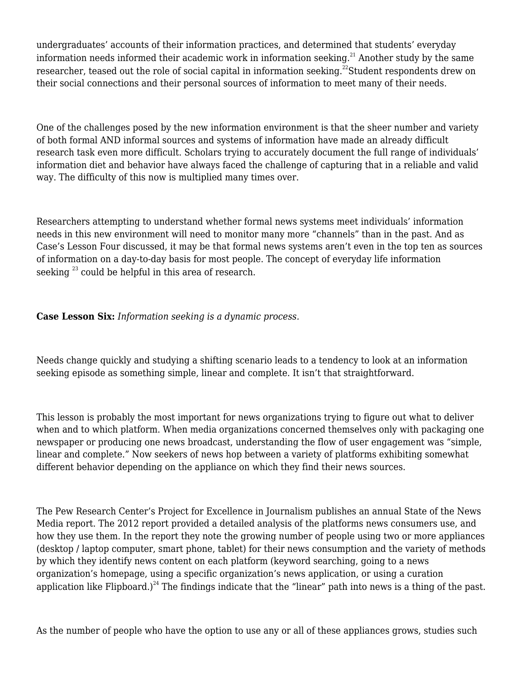undergraduates' accounts of their information practices, and determined that students' everyday information needs informed their academic work in information seeking.<sup>[21](#page--1-0)</sup> Another study by the same researcher, teased out the role of social capital in information seeking.<sup>[22](#page--1-0)</sup>Student respondents drew on their social connections and their personal sources of information to meet many of their needs.

One of the challenges posed by the new information environment is that the sheer number and variety of both formal AND informal sources and systems of information have made an already difficult research task even more difficult. Scholars trying to accurately document the full range of individuals' information diet and behavior have always faced the challenge of capturing that in a reliable and valid way. The difficulty of this now is multiplied many times over.

Researchers attempting to understand whether formal news systems meet individuals' information needs in this new environment will need to monitor many more "channels" than in the past. And as Case's Lesson Four discussed, it may be that formal news systems aren't even in the top ten as sources of information on a day-to-day basis for most people. The concept of everyday life information seeking<sup>[23](#page--1-0)</sup> could be helpful in this area of research.

## **Case Lesson Six:** *Information seeking is a dynamic process.*

Needs change quickly and studying a shifting scenario leads to a tendency to look at an information seeking episode as something simple, linear and complete. It isn't that straightforward.

This lesson is probably the most important for news organizations trying to figure out what to deliver when and to which platform. When media organizations concerned themselves only with packaging one newspaper or producing one news broadcast, understanding the flow of user engagement was "simple, linear and complete." Now seekers of news hop between a variety of platforms exhibiting somewhat different behavior depending on the appliance on which they find their news sources.

The Pew Research Center's Project for Excellence in Journalism publishes an annual State of the News Media report. The 2012 report provided a detailed analysis of the platforms news consumers use, and how they use them. In the report they note the growing number of people using two or more appliances (desktop / laptop computer, smart phone, tablet) for their news consumption and the variety of methods by which they identify news content on each platform (keyword searching, going to a news organization's homepage, using a specific organization's news application, or using a curation application like Flipboard.)<sup>[24](#page--1-0)</sup> The findings indicate that the "linear" path into news is a thing of the past.

As the number of people who have the option to use any or all of these appliances grows, studies such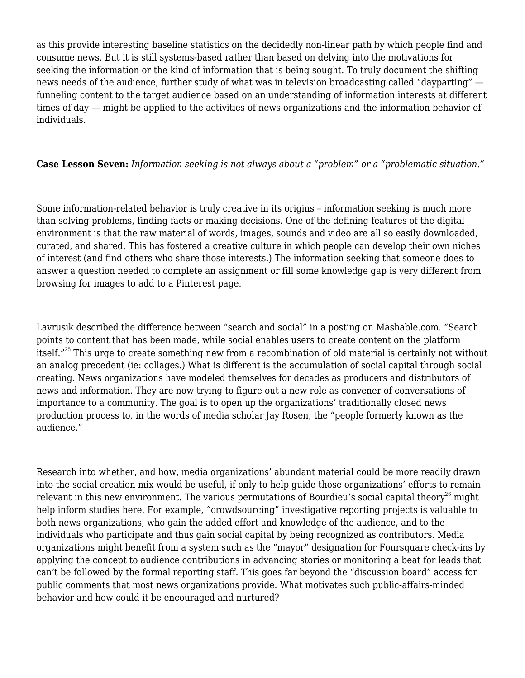as this provide interesting baseline statistics on the decidedly non-linear path by which people find and consume news. But it is still systems-based rather than based on delving into the motivations for seeking the information or the kind of information that is being sought. To truly document the shifting news needs of the audience, further study of what was in television broadcasting called "dayparting" funneling content to the target audience based on an understanding of information interests at different times of day — might be applied to the activities of news organizations and the information behavior of individuals.

## **Case Lesson Seven:** *Information seeking is not always about a "problem" or a "problematic situation."*

Some information-related behavior is truly creative in its origins – information seeking is much more than solving problems, finding facts or making decisions. One of the defining features of the digital environment is that the raw material of words, images, sounds and video are all so easily downloaded, curated, and shared. This has fostered a creative culture in which people can develop their own niches of interest (and find others who share those interests.) The information seeking that someone does to answer a question needed to complete an assignment or fill some knowledge gap is very different from browsing for images to add to a Pinterest page.

Lavrusik described the difference between "search and social" in a posting on Mashable.com. "Search points to content that has been made, while social enables users to create content on the platform itself."<sup>[25](#page--1-0)</sup> This urge to create something new from a recombination of old material is certainly not without an analog precedent (ie: collages.) What is different is the accumulation of social capital through social creating. News organizations have modeled themselves for decades as producers and distributors of news and information. They are now trying to figure out a new role as convener of conversations of importance to a community. The goal is to open up the organizations' traditionally closed news production process to, in the words of media scholar Jay Rosen, the "people formerly known as the audience."

Research into whether, and how, media organizations' abundant material could be more readily drawn into the social creation mix would be useful, if only to help guide those organizations' efforts to remain relevant in this new environment. The various permutations of Bourdieu's social capital theory<sup>[26](#page--1-0)</sup> might help inform studies here. For example, "crowdsourcing" investigative reporting projects is valuable to both news organizations, who gain the added effort and knowledge of the audience, and to the individuals who participate and thus gain social capital by being recognized as contributors. Media organizations might benefit from a system such as the "mayor" designation for Foursquare check-ins by applying the concept to audience contributions in advancing stories or monitoring a beat for leads that can't be followed by the formal reporting staff. This goes far beyond the "discussion board" access for public comments that most news organizations provide. What motivates such public-affairs-minded behavior and how could it be encouraged and nurtured?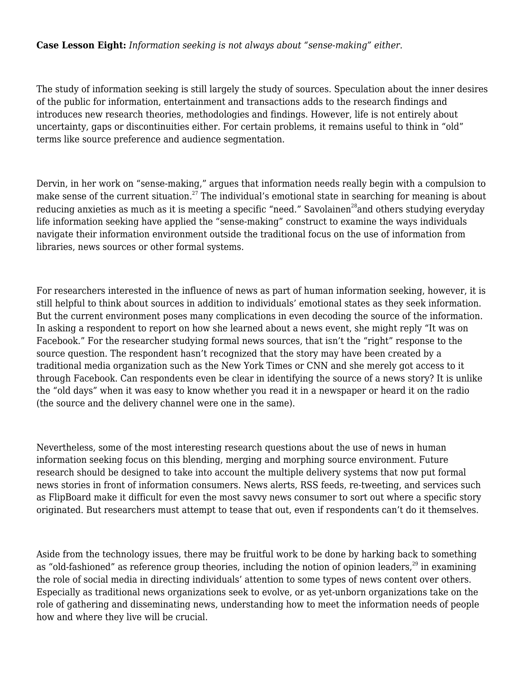### **Case Lesson Eight:** *Information seeking is not always about "sense-making" either.*

The study of information seeking is still largely the study of sources. Speculation about the inner desires of the public for information, entertainment and transactions adds to the research findings and introduces new research theories, methodologies and findings. However, life is not entirely about uncertainty, gaps or discontinuities either. For certain problems, it remains useful to think in "old" terms like source preference and audience segmentation.

Dervin, in her work on "sense-making," argues that information needs really begin with a compulsion to make sense of the current situation.<sup>[27](#page--1-0)</sup> The individual's emotional state in searching for meaning is about reducing anxieties as much as it is meeting a specific "need." Savolainen<sup>[28](#page--1-0)</sup> and others studying everyday life information seeking have applied the "sense-making" construct to examine the ways individuals navigate their information environment outside the traditional focus on the use of information from libraries, news sources or other formal systems.

For researchers interested in the influence of news as part of human information seeking, however, it is still helpful to think about sources in addition to individuals' emotional states as they seek information. But the current environment poses many complications in even decoding the source of the information. In asking a respondent to report on how she learned about a news event, she might reply "It was on Facebook." For the researcher studying formal news sources, that isn't the "right" response to the source question. The respondent hasn't recognized that the story may have been created by a traditional media organization such as the New York Times or CNN and she merely got access to it through Facebook. Can respondents even be clear in identifying the source of a news story? It is unlike the "old days" when it was easy to know whether you read it in a newspaper or heard it on the radio (the source and the delivery channel were one in the same).

Nevertheless, some of the most interesting research questions about the use of news in human information seeking focus on this blending, merging and morphing source environment. Future research should be designed to take into account the multiple delivery systems that now put formal news stories in front of information consumers. News alerts, RSS feeds, re-tweeting, and services such as FlipBoard make it difficult for even the most savvy news consumer to sort out where a specific story originated. But researchers must attempt to tease that out, even if respondents can't do it themselves.

Aside from the technology issues, there may be fruitful work to be done by harking back to something as "old-fashioned" as reference group theories, including the notion of opinion leaders,<sup>[29](#page--1-0)</sup> in examining the role of social media in directing individuals' attention to some types of news content over others. Especially as traditional news organizations seek to evolve, or as yet-unborn organizations take on the role of gathering and disseminating news, understanding how to meet the information needs of people how and where they live will be crucial.